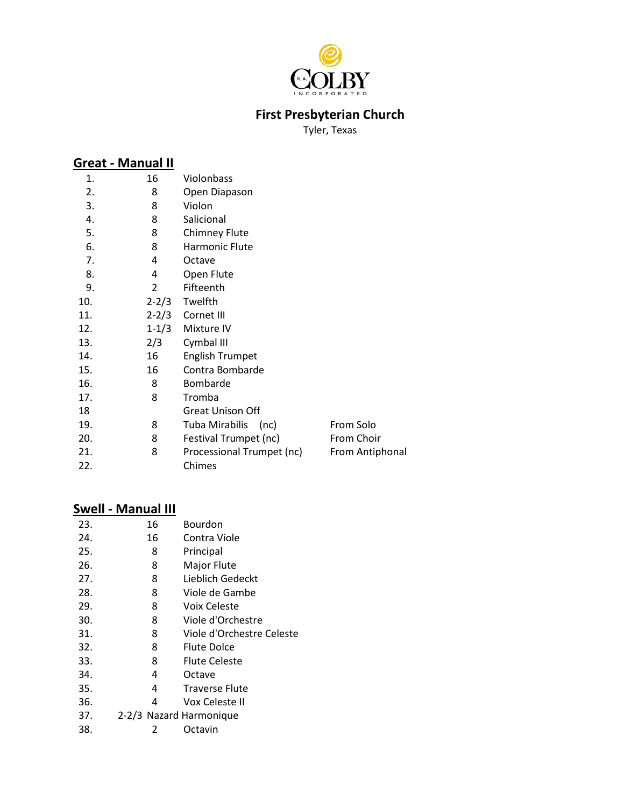

# **First Presbyterian Church**

Tyler, Texas

### **Great - Manual II**

| 1.  | 16             | Violonbass                |                 |
|-----|----------------|---------------------------|-----------------|
| 2.  | 8              | Open Diapason             |                 |
| 3.  | 8              | Violon                    |                 |
| 4.  | 8              | Salicional                |                 |
| 5.  | 8              | <b>Chimney Flute</b>      |                 |
| 6.  | 8              | Harmonic Flute            |                 |
| 7.  | 4              | Octave                    |                 |
| 8.  | 4              | Open Flute                |                 |
| 9.  | $\overline{2}$ | Fifteenth                 |                 |
| 10. | $2 - 2/3$      | Twelfth                   |                 |
| 11. | $2 - 2/3$      | Cornet III                |                 |
| 12. | $1 - 1/3$      | Mixture IV                |                 |
| 13. | 2/3            | Cymbal III                |                 |
| 14. | 16             | <b>English Trumpet</b>    |                 |
| 15. | 16             | Contra Bombarde           |                 |
| 16. | 8              | <b>Bombarde</b>           |                 |
| 17. | 8              | Tromba                    |                 |
| 18  |                | <b>Great Unison Off</b>   |                 |
| 19. | 8              | Tuba Mirabilis<br>(nc)    | From Solo       |
| 20. | 8              | Festival Trumpet (nc)     | From Choir      |
| 21. | 8              | Processional Trumpet (nc) | From Antiphonal |
| 22. |                | Chimes                    |                 |
|     |                |                           |                 |

### **Swell - Manual III**

| 23. | 16                      | Bourdon                   |
|-----|-------------------------|---------------------------|
| 24. | 16                      | Contra Viole              |
| 25. | 8                       | Principal                 |
| 26. | 8                       | Major Flute               |
| 27. | 8                       | Lieblich Gedeckt          |
| 28. | 8                       | Viole de Gambe            |
| 29. | 8                       | Voix Celeste              |
| 30. | 8                       | Viole d'Orchestre         |
| 31. | 8                       | Viole d'Orchestre Celeste |
| 32. | 8                       | <b>Flute Dolce</b>        |
| 33. | 8                       | <b>Flute Celeste</b>      |
| 34. | 4                       | Octave                    |
| 35. | 4                       | <b>Traverse Flute</b>     |
| 36. | 4                       | Vox Celeste II            |
| 37. | 2-2/3 Nazard Harmonique |                           |
| 38. | 2                       | Octavin                   |
|     |                         |                           |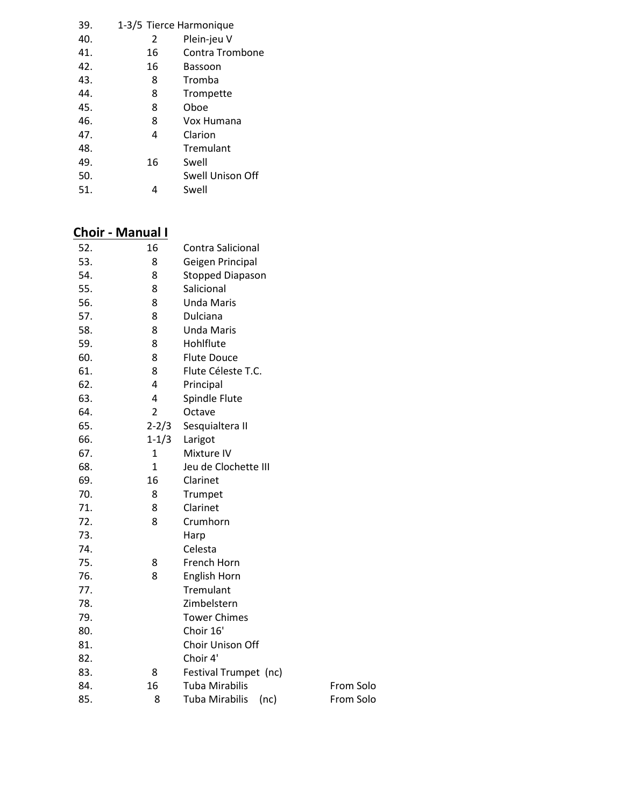| 39. | 1-3/5 Tierce Harmonique |                  |  |
|-----|-------------------------|------------------|--|
| 40. | 2                       | Plein-jeu V      |  |
| 41. | 16                      | Contra Trombone  |  |
| 42. | 16                      | Bassoon          |  |
| 43. | 8                       | Tromba           |  |
| 44. | 8                       | Trompette        |  |
| 45. | 8                       | Oboe             |  |
| 46. | 8                       | Vox Humana       |  |
| 47. | 4                       | Clarion          |  |
| 48. |                         | Tremulant        |  |
| 49. | 16                      | Swell            |  |
| 50. |                         | Swell Unison Off |  |
| 51. |                         | Swell            |  |
|     |                         |                  |  |

# **Choir - Manual I**

| 52. | 16             | Contra Salicional             |           |  |
|-----|----------------|-------------------------------|-----------|--|
| 53. | 8              | Geigen Principal              |           |  |
| 54. | 8              | Stopped Diapason              |           |  |
| 55. | 8              | Salicional                    |           |  |
| 56. | 8              | <b>Unda Maris</b>             |           |  |
| 57. | 8              | Dulciana                      |           |  |
| 58. | 8              | <b>Unda Maris</b>             |           |  |
| 59. | 8              | Hohlflute                     |           |  |
| 60. | 8              | <b>Flute Douce</b>            |           |  |
| 61. | 8              | Flute Céleste T.C.            |           |  |
| 62. | 4              | Principal                     |           |  |
| 63. | 4              | Spindle Flute                 |           |  |
| 64. | $\overline{2}$ | Octave                        |           |  |
| 65. | $2 - 2/3$      | Sesquialtera II               |           |  |
| 66. | $1 - 1/3$      | Larigot                       |           |  |
| 67. | $\mathbf{1}$   | Mixture IV                    |           |  |
| 68. | $\mathbf{1}$   | Jeu de Clochette III          |           |  |
| 69. | 16             | Clarinet                      |           |  |
| 70. | 8              | Trumpet                       |           |  |
| 71. | 8              | Clarinet                      |           |  |
| 72. | 8              | Crumhorn                      |           |  |
| 73. |                | Harp                          |           |  |
| 74. |                | Celesta                       |           |  |
| 75. | 8              | French Horn                   |           |  |
| 76. | 8              | English Horn                  |           |  |
| 77. |                | Tremulant                     |           |  |
| 78. |                | Zimbelstern                   |           |  |
| 79. |                | <b>Tower Chimes</b>           |           |  |
| 80. |                | Choir 16'                     |           |  |
| 81. |                | Choir Unison Off              |           |  |
| 82. |                | Choir 4'                      |           |  |
| 83. | 8              | Festival Trumpet (nc)         |           |  |
| 84. | 16             | <b>Tuba Mirabilis</b>         | From Solo |  |
| 85. | 8              | <b>Tuba Mirabilis</b><br>(nc) | From Solo |  |
|     |                |                               |           |  |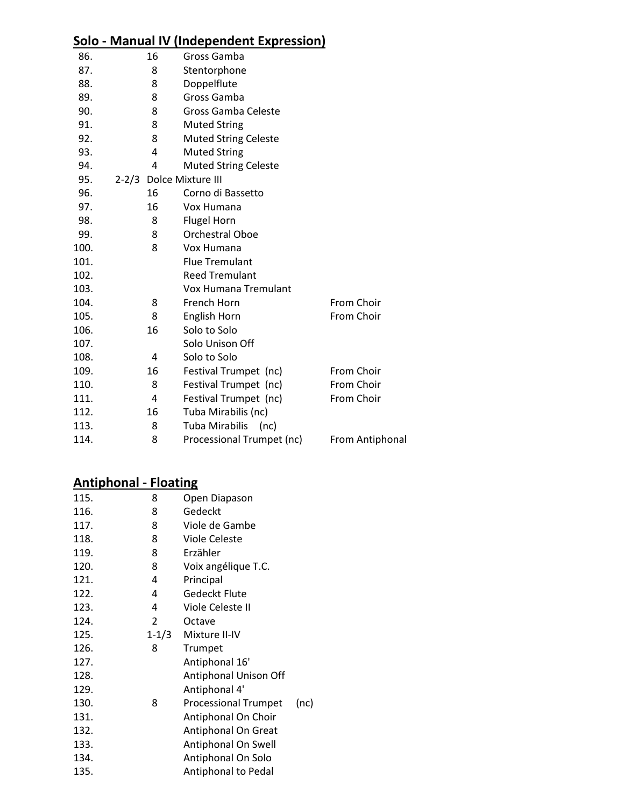#### **Solo - Manual IV (Independent Expression)**

| 86.  |   | 16 | Gross Gamba                   |                 |  |  |
|------|---|----|-------------------------------|-----------------|--|--|
| 87.  | 8 |    | Stentorphone                  |                 |  |  |
| 88.  | 8 |    | Doppelflute                   |                 |  |  |
| 89.  |   | 8  | Gross Gamba                   |                 |  |  |
| 90.  |   | 8  | <b>Gross Gamba Celeste</b>    |                 |  |  |
| 91.  |   | 8  | <b>Muted String</b>           |                 |  |  |
| 92.  |   | 8  | <b>Muted String Celeste</b>   |                 |  |  |
| 93.  |   | 4  | <b>Muted String</b>           |                 |  |  |
| 94.  |   | 4  | <b>Muted String Celeste</b>   |                 |  |  |
| 95.  |   |    | 2-2/3 Dolce Mixture III       |                 |  |  |
| 96.  |   | 16 | Corno di Bassetto             |                 |  |  |
| 97.  |   | 16 | Vox Humana                    |                 |  |  |
| 98.  |   | 8  | <b>Flugel Horn</b>            |                 |  |  |
| 99.  |   | 8  | Orchestral Oboe               |                 |  |  |
| 100. |   | 8  | Vox Humana                    |                 |  |  |
| 101. |   |    | <b>Flue Tremulant</b>         |                 |  |  |
| 102. |   |    | <b>Reed Tremulant</b>         |                 |  |  |
| 103. |   |    | Vox Humana Tremulant          |                 |  |  |
| 104. |   | 8  | French Horn                   | From Choir      |  |  |
| 105. |   | 8  | English Horn                  | From Choir      |  |  |
| 106. |   | 16 | Solo to Solo                  |                 |  |  |
| 107. |   |    | Solo Unison Off               |                 |  |  |
| 108. |   | 4  | Solo to Solo                  |                 |  |  |
| 109. |   | 16 | Festival Trumpet (nc)         | From Choir      |  |  |
| 110. |   | 8  | Festival Trumpet (nc)         | From Choir      |  |  |
| 111. |   | 4  | Festival Trumpet (nc)         | From Choir      |  |  |
| 112. |   | 16 | Tuba Mirabilis (nc)           |                 |  |  |
| 113. |   | 8  | <b>Tuba Mirabilis</b><br>(nc) |                 |  |  |
| 114. |   | 8  | Processional Trumpet (nc)     | From Antiphonal |  |  |
|      |   |    |                               |                 |  |  |

# **Antiphonal - Floating**

| 115. | 8         | Open Diapason               |      |
|------|-----------|-----------------------------|------|
| 116. | 8         | Gedeckt                     |      |
| 117. | 8         | Viole de Gambe              |      |
| 118. | 8         | <b>Viole Celeste</b>        |      |
| 119. | 8         | Erzähler                    |      |
| 120. | 8         | Voix angélique T.C.         |      |
| 121. | 4         | Principal                   |      |
| 122. | 4         | Gedeckt Flute               |      |
| 123. | 4         | Viole Celeste II            |      |
| 124. | 2         | Octave                      |      |
| 125. | $1 - 1/3$ | Mixture II-IV               |      |
| 126. | 8         | Trumpet                     |      |
| 127. |           | Antiphonal 16'              |      |
| 128. |           | Antiphonal Unison Off       |      |
| 129. |           | Antiphonal 4'               |      |
| 130. | 8         | <b>Processional Trumpet</b> | (nc) |
| 131. |           | Antiphonal On Choir         |      |
| 132. |           | Antiphonal On Great         |      |
| 133. |           | Antiphonal On Swell         |      |
| 134. |           | Antiphonal On Solo          |      |
| 135. |           | Antiphonal to Pedal         |      |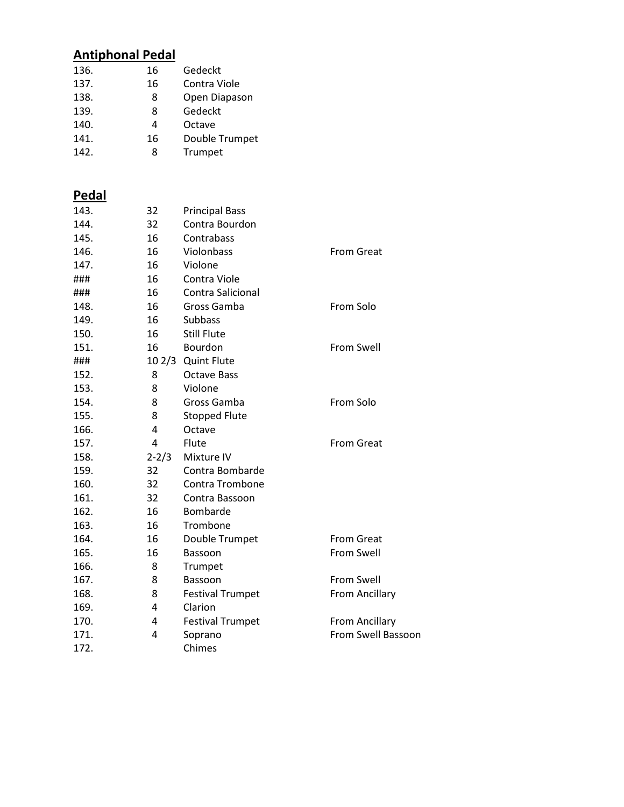# **Antiphonal Pedal**

| 136. | 16 | Gedeckt        |
|------|----|----------------|
| 137. | 16 | Contra Viole   |
| 138. | 8  | Open Diapason  |
| 139. | 8  | Gedeckt        |
| 140. | 4  | Octave         |
| 141. | 16 | Double Trumpet |
| 142. | я  | Trumpet        |

# **Pedal**

| 143. | 32        | <b>Principal Bass</b>   |                           |
|------|-----------|-------------------------|---------------------------|
| 144. | 32        | Contra Bourdon          |                           |
| 145. | 16        | Contrabass              |                           |
| 146. | 16        | Violonbass              | <b>From Great</b>         |
| 147. | 16        | Violone                 |                           |
| ###  | 16        | Contra Viole            |                           |
| ###  | 16        | Contra Salicional       |                           |
| 148. | 16        | Gross Gamba             | From Solo                 |
| 149. | 16        | <b>Subbass</b>          |                           |
| 150. | 16        | <b>Still Flute</b>      |                           |
| 151. | 16        | Bourdon                 | <b>From Swell</b>         |
| ###  |           | 10 2/3 Quint Flute      |                           |
| 152. | 8         | <b>Octave Bass</b>      |                           |
| 153. | 8         | Violone                 |                           |
| 154. | 8         | Gross Gamba             | From Solo                 |
| 155. | 8         | <b>Stopped Flute</b>    |                           |
| 166. | 4         | Octave                  |                           |
| 157. | 4         | Flute                   | <b>From Great</b>         |
| 158. | $2 - 2/3$ | Mixture IV              |                           |
| 159. | 32        | Contra Bombarde         |                           |
| 160. | 32        | Contra Trombone         |                           |
| 161. | 32        | Contra Bassoon          |                           |
| 162. | 16        | <b>Bombarde</b>         |                           |
| 163. | 16        | Trombone                |                           |
| 164. | 16        | Double Trumpet          | <b>From Great</b>         |
| 165. | 16        | Bassoon                 | From Swell                |
| 166. | 8         | Trumpet                 |                           |
| 167. | 8         | Bassoon                 | From Swell                |
| 168. | 8         | <b>Festival Trumpet</b> | <b>From Ancillary</b>     |
| 169. | 4         | Clarion                 |                           |
| 170. | 4         | <b>Festival Trumpet</b> | From Ancillary            |
| 171. | 4         | Soprano                 | <b>From Swell Bassoon</b> |
| 172. |           | Chimes                  |                           |